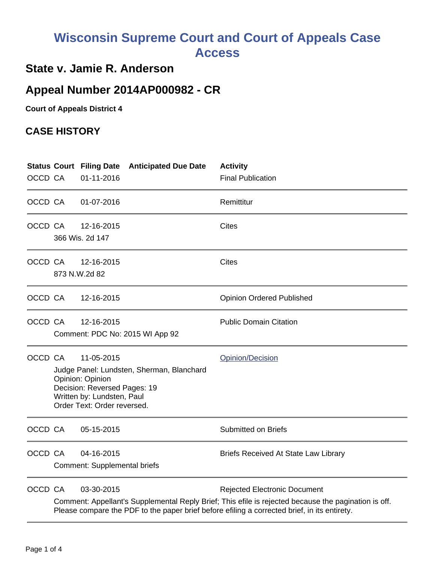## **Wisconsin Supreme Court and Court of Appeals Case Access**

## **State v. Jamie R. Anderson**

## **Appeal Number 2014AP000982 - CR**

**Court of Appeals District 4**

## **CASE HISTORY**

|         |                                                                                                                                                                                                      | <b>Status Court Filing Date</b><br><b>Anticipated Due Date</b> | <b>Activity</b>                             |  |  |
|---------|------------------------------------------------------------------------------------------------------------------------------------------------------------------------------------------------------|----------------------------------------------------------------|---------------------------------------------|--|--|
| OCCD CA |                                                                                                                                                                                                      | 01-11-2016                                                     | <b>Final Publication</b>                    |  |  |
| OCCD CA |                                                                                                                                                                                                      | 01-07-2016                                                     | Remittitur                                  |  |  |
| OCCD CA |                                                                                                                                                                                                      | 12-16-2015                                                     | <b>Cites</b>                                |  |  |
|         | 366 Wis. 2d 147                                                                                                                                                                                      |                                                                |                                             |  |  |
| OCCD CA |                                                                                                                                                                                                      | 12-16-2015                                                     | <b>Cites</b>                                |  |  |
|         |                                                                                                                                                                                                      | 873 N.W.2d 82                                                  |                                             |  |  |
| OCCD CA |                                                                                                                                                                                                      | 12-16-2015                                                     | <b>Opinion Ordered Published</b>            |  |  |
| OCCD CA |                                                                                                                                                                                                      | 12-16-2015                                                     | <b>Public Domain Citation</b>               |  |  |
|         | Comment: PDC No: 2015 WI App 92                                                                                                                                                                      |                                                                |                                             |  |  |
| OCCD CA |                                                                                                                                                                                                      | 11-05-2015                                                     | Opinion/Decision                            |  |  |
|         | Judge Panel: Lundsten, Sherman, Blanchard<br>Opinion: Opinion<br>Decision: Reversed Pages: 19<br>Written by: Lundsten, Paul<br>Order Text: Order reversed.                                           |                                                                |                                             |  |  |
| OCCD CA |                                                                                                                                                                                                      | 05-15-2015                                                     | <b>Submitted on Briefs</b>                  |  |  |
| OCCD CA |                                                                                                                                                                                                      | 04-16-2015                                                     | <b>Briefs Received At State Law Library</b> |  |  |
|         | Comment: Supplemental briefs                                                                                                                                                                         |                                                                |                                             |  |  |
| OCCD CA |                                                                                                                                                                                                      | 03-30-2015                                                     | <b>Rejected Electronic Document</b>         |  |  |
|         | Comment: Appellant's Supplemental Reply Brief; This efile is rejected because the pagination is off.<br>Please compare the PDF to the paper brief before efiling a corrected brief, in its entirety. |                                                                |                                             |  |  |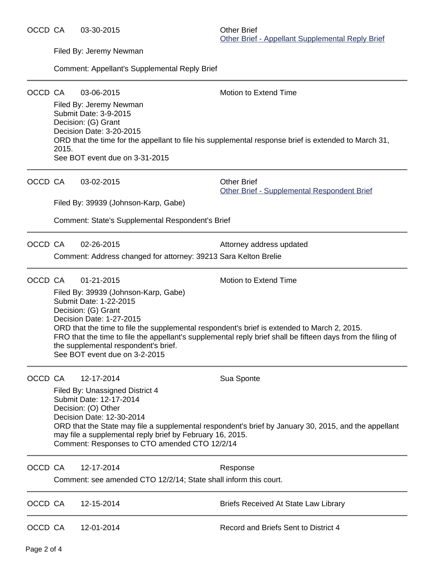Filed By: Jeremy Newman

Comment: Appellant's Supplemental Reply Brief

| OCCD CA |                                                                                                                                                                   | 03-06-2015                                                                                                                                          | Motion to Extend Time                       |  |  |  |  |
|---------|-------------------------------------------------------------------------------------------------------------------------------------------------------------------|-----------------------------------------------------------------------------------------------------------------------------------------------------|---------------------------------------------|--|--|--|--|
|         |                                                                                                                                                                   | Filed By: Jeremy Newman                                                                                                                             |                                             |  |  |  |  |
|         |                                                                                                                                                                   | Submit Date: 3-9-2015<br>Decision: (G) Grant                                                                                                        |                                             |  |  |  |  |
|         |                                                                                                                                                                   | Decision Date: 3-20-2015                                                                                                                            |                                             |  |  |  |  |
|         |                                                                                                                                                                   | ORD that the time for the appellant to file his supplemental response brief is extended to March 31,                                                |                                             |  |  |  |  |
|         | 2015.<br>See BOT event due on 3-31-2015                                                                                                                           |                                                                                                                                                     |                                             |  |  |  |  |
|         |                                                                                                                                                                   |                                                                                                                                                     |                                             |  |  |  |  |
| OCCD CA |                                                                                                                                                                   | 03-02-2015                                                                                                                                          | <b>Other Brief</b>                          |  |  |  |  |
|         |                                                                                                                                                                   |                                                                                                                                                     | Other Brief - Supplemental Respondent Brief |  |  |  |  |
|         |                                                                                                                                                                   | Filed By: 39939 (Johnson-Karp, Gabe)                                                                                                                |                                             |  |  |  |  |
|         |                                                                                                                                                                   | Comment: State's Supplemental Respondent's Brief                                                                                                    |                                             |  |  |  |  |
| OCCD CA |                                                                                                                                                                   | 02-26-2015                                                                                                                                          | Attorney address updated                    |  |  |  |  |
|         |                                                                                                                                                                   | Comment: Address changed for attorney: 39213 Sara Kelton Brelie                                                                                     |                                             |  |  |  |  |
| OCCD CA |                                                                                                                                                                   | 01-21-2015                                                                                                                                          | Motion to Extend Time                       |  |  |  |  |
|         |                                                                                                                                                                   | Filed By: 39939 (Johnson-Karp, Gabe)                                                                                                                |                                             |  |  |  |  |
|         |                                                                                                                                                                   | Submit Date: 1-22-2015                                                                                                                              |                                             |  |  |  |  |
|         |                                                                                                                                                                   | Decision: (G) Grant<br>Decision Date: 1-27-2015                                                                                                     |                                             |  |  |  |  |
|         |                                                                                                                                                                   | ORD that the time to file the supplemental respondent's brief is extended to March 2, 2015.                                                         |                                             |  |  |  |  |
|         |                                                                                                                                                                   | FRO that the time to file the appellant's supplemental reply brief shall be fifteen days from the filing of<br>the supplemental respondent's brief. |                                             |  |  |  |  |
|         |                                                                                                                                                                   | See BOT event due on 3-2-2015                                                                                                                       |                                             |  |  |  |  |
|         |                                                                                                                                                                   |                                                                                                                                                     |                                             |  |  |  |  |
| OCCD CA |                                                                                                                                                                   | 12-17-2014                                                                                                                                          | Sua Sponte                                  |  |  |  |  |
|         | Filed By: Unassigned District 4<br>Submit Date: 12-17-2014                                                                                                        |                                                                                                                                                     |                                             |  |  |  |  |
|         |                                                                                                                                                                   | Decision: (O) Other                                                                                                                                 |                                             |  |  |  |  |
|         |                                                                                                                                                                   | Decision Date: 12-30-2014                                                                                                                           |                                             |  |  |  |  |
|         | ORD that the State may file a supplemental respondent's brief by January 30, 2015, and the appellant<br>may file a supplemental reply brief by February 16, 2015. |                                                                                                                                                     |                                             |  |  |  |  |
|         |                                                                                                                                                                   | Comment: Responses to CTO amended CTO 12/2/14                                                                                                       |                                             |  |  |  |  |
| OCCD CA |                                                                                                                                                                   | 12-17-2014                                                                                                                                          | Response                                    |  |  |  |  |
|         |                                                                                                                                                                   | Comment: see amended CTO 12/2/14; State shall inform this court.                                                                                    |                                             |  |  |  |  |
| OCCD CA |                                                                                                                                                                   | 12-15-2014                                                                                                                                          | <b>Briefs Received At State Law Library</b> |  |  |  |  |
| OCCD CA |                                                                                                                                                                   | 12-01-2014                                                                                                                                          | Record and Briefs Sent to District 4        |  |  |  |  |
|         |                                                                                                                                                                   |                                                                                                                                                     |                                             |  |  |  |  |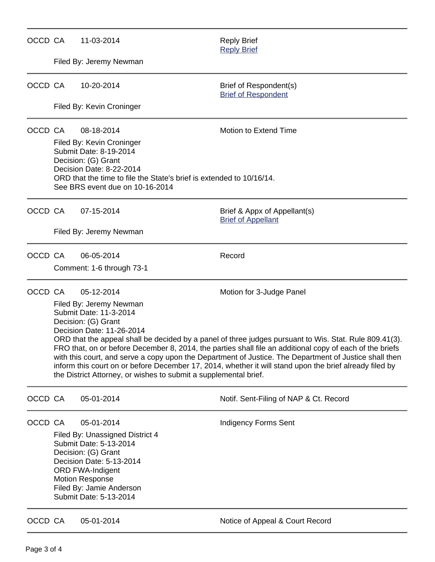| OCCD CA |                         | 11-03-2014                                                                                                                                                                                                                                                                                                                                                                                                                                                                                                                                                                                                           | <b>Reply Brief</b><br><b>Reply Brief</b>                  |  |  |
|---------|-------------------------|----------------------------------------------------------------------------------------------------------------------------------------------------------------------------------------------------------------------------------------------------------------------------------------------------------------------------------------------------------------------------------------------------------------------------------------------------------------------------------------------------------------------------------------------------------------------------------------------------------------------|-----------------------------------------------------------|--|--|
|         | Filed By: Jeremy Newman |                                                                                                                                                                                                                                                                                                                                                                                                                                                                                                                                                                                                                      |                                                           |  |  |
| OCCD CA |                         | 10-20-2014                                                                                                                                                                                                                                                                                                                                                                                                                                                                                                                                                                                                           | Brief of Respondent(s)<br><b>Brief of Respondent</b>      |  |  |
|         |                         | Filed By: Kevin Croninger                                                                                                                                                                                                                                                                                                                                                                                                                                                                                                                                                                                            |                                                           |  |  |
| OCCD CA |                         | 08-18-2014                                                                                                                                                                                                                                                                                                                                                                                                                                                                                                                                                                                                           | Motion to Extend Time                                     |  |  |
|         |                         | Filed By: Kevin Croninger<br>Submit Date: 8-19-2014<br>Decision: (G) Grant<br>Decision Date: 8-22-2014<br>ORD that the time to file the State's brief is extended to 10/16/14.<br>See BRS event due on 10-16-2014                                                                                                                                                                                                                                                                                                                                                                                                    |                                                           |  |  |
| OCCD CA |                         | 07-15-2014                                                                                                                                                                                                                                                                                                                                                                                                                                                                                                                                                                                                           | Brief & Appx of Appellant(s)<br><b>Brief of Appellant</b> |  |  |
|         |                         | Filed By: Jeremy Newman                                                                                                                                                                                                                                                                                                                                                                                                                                                                                                                                                                                              |                                                           |  |  |
| OCCD CA |                         | 06-05-2014                                                                                                                                                                                                                                                                                                                                                                                                                                                                                                                                                                                                           | Record                                                    |  |  |
|         |                         | Comment: 1-6 through 73-1                                                                                                                                                                                                                                                                                                                                                                                                                                                                                                                                                                                            |                                                           |  |  |
| OCCD CA |                         | 05-12-2014                                                                                                                                                                                                                                                                                                                                                                                                                                                                                                                                                                                                           | Motion for 3-Judge Panel                                  |  |  |
|         |                         | Filed By: Jeremy Newman<br>Submit Date: 11-3-2014<br>Decision: (G) Grant<br>Decision Date: 11-26-2014<br>ORD that the appeal shall be decided by a panel of three judges pursuant to Wis. Stat. Rule 809.41(3).<br>FRO that, on or before December 8, 2014, the parties shall file an additional copy of each of the briefs<br>with this court, and serve a copy upon the Department of Justice. The Department of Justice shall then<br>inform this court on or before December 17, 2014, whether it will stand upon the brief already filed by<br>the District Attorney, or wishes to submit a supplemental brief. |                                                           |  |  |
| OCCD CA |                         | 05-01-2014                                                                                                                                                                                                                                                                                                                                                                                                                                                                                                                                                                                                           | Notif. Sent-Filing of NAP & Ct. Record                    |  |  |
| OCCD CA |                         | 05-01-2014<br>Filed By: Unassigned District 4<br>Submit Date: 5-13-2014<br>Decision: (G) Grant<br>Decision Date: 5-13-2014<br><b>ORD FWA-Indigent</b><br><b>Motion Response</b><br>Filed By: Jamie Anderson<br>Submit Date: 5-13-2014                                                                                                                                                                                                                                                                                                                                                                                | <b>Indigency Forms Sent</b>                               |  |  |
| OCCD CA |                         | 05-01-2014                                                                                                                                                                                                                                                                                                                                                                                                                                                                                                                                                                                                           | Notice of Appeal & Court Record                           |  |  |